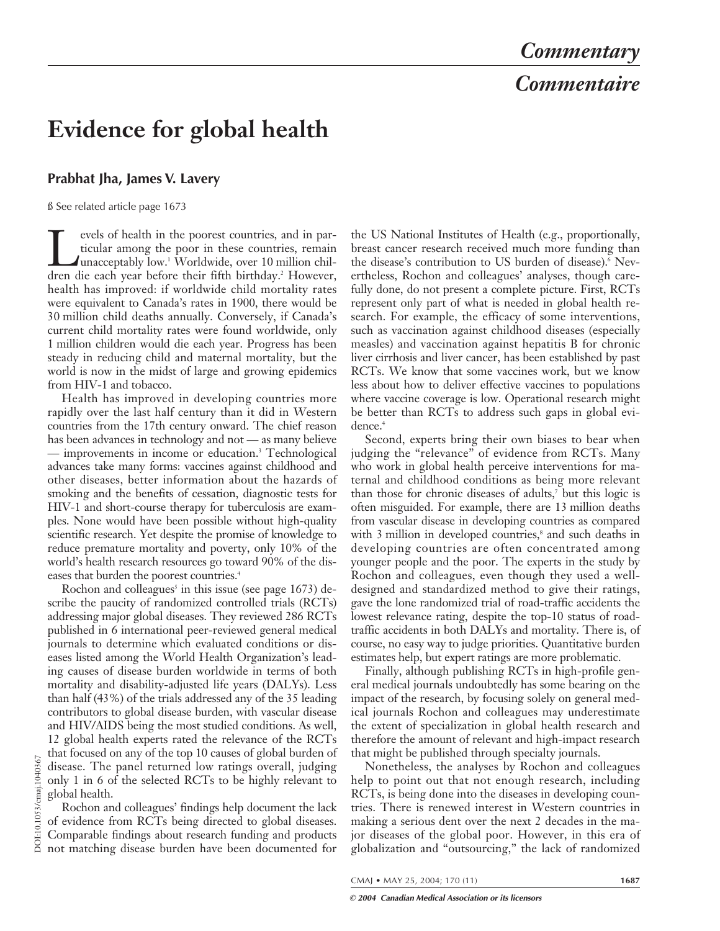# *Commentary Commentaire*

## **Evidence for global health**

### **Prabhat Jha, James V. Lavery**

ß See related article page 1673

Tevels of health in the poorest countries, and in par-<br>ticular among the poor in these countries, remain<br>unacceptably low.<sup>1</sup> Worldwide, over 10 million chil-<br>dren die each vear before their fifth birthday.<sup>2</sup> However. ticular among the poor in these countries, remain unacceptably low.1 Worldwide, over 10 million children die each year before their fifth birthday.<sup>2</sup> However, health has improved: if worldwide child mortality rates were equivalent to Canada's rates in 1900, there would be 30 million child deaths annually. Conversely, if Canada's current child mortality rates were found worldwide, only 1 million children would die each year. Progress has been steady in reducing child and maternal mortality, but the world is now in the midst of large and growing epidemics from HIV-1 and tobacco.

Health has improved in developing countries more rapidly over the last half century than it did in Western countries from the 17th century onward. The chief reason has been advances in technology and not — as many believe — improvements in income or education.3 Technological advances take many forms: vaccines against childhood and other diseases, better information about the hazards of smoking and the benefits of cessation, diagnostic tests for HIV-1 and short-course therapy for tuberculosis are examples. None would have been possible without high-quality scientific research. Yet despite the promise of knowledge to reduce premature mortality and poverty, only 10% of the world's health research resources go toward 90% of the diseases that burden the poorest countries.<sup>4</sup>

Rochon and colleagues<sup>5</sup> in this issue (see page  $1673$ ) describe the paucity of randomized controlled trials (RCTs) addressing major global diseases. They reviewed 286 RCTs published in 6 international peer-reviewed general medical journals to determine which evaluated conditions or diseases listed among the World Health Organization's leading causes of disease burden worldwide in terms of both mortality and disability-adjusted life years (DALYs). Less than half (43%) of the trials addressed any of the 35 leading contributors to global disease burden, with vascular disease and HIV/AIDS being the most studied conditions. As well, 12 global health experts rated the relevance of the RCTs that focused on any of the top 10 causes of global burden of disease. The panel returned low ratings overall, judging only 1 in 6 of the selected RCTs to be highly relevant to

global health. Rochon and colleagues' findings help document the lack of evidence from RCTs being directed to global diseases. Comparable findings about research funding and products not matching disease burden have been documented for

the US National Institutes of Health (e.g., proportionally, breast cancer research received much more funding than the disease's contribution to US burden of disease).<sup>6</sup> Nevertheless, Rochon and colleagues' analyses, though carefully done, do not present a complete picture. First, RCTs represent only part of what is needed in global health research. For example, the efficacy of some interventions, such as vaccination against childhood diseases (especially measles) and vaccination against hepatitis B for chronic liver cirrhosis and liver cancer, has been established by past RCTs. We know that some vaccines work, but we know less about how to deliver effective vaccines to populations where vaccine coverage is low. Operational research might be better than RCTs to address such gaps in global evidence.<sup>4</sup>

Second, experts bring their own biases to bear when judging the "relevance" of evidence from RCTs. Many who work in global health perceive interventions for maternal and childhood conditions as being more relevant than those for chronic diseases of adults,<sup>7</sup> but this logic is often misguided. For example, there are 13 million deaths from vascular disease in developing countries as compared with 3 million in developed countries,<sup>8</sup> and such deaths in developing countries are often concentrated among younger people and the poor. The experts in the study by Rochon and colleagues, even though they used a welldesigned and standardized method to give their ratings, gave the lone randomized trial of road-traffic accidents the lowest relevance rating, despite the top-10 status of roadtraffic accidents in both DALYs and mortality. There is, of course, no easy way to judge priorities. Quantitative burden estimates help, but expert ratings are more problematic.

Finally, although publishing RCTs in high-profile general medical journals undoubtedly has some bearing on the impact of the research, by focusing solely on general medical journals Rochon and colleagues may underestimate the extent of specialization in global health research and therefore the amount of relevant and high-impact research that might be published through specialty journals.

Nonetheless, the analyses by Rochon and colleagues help to point out that not enough research, including RCTs, is being done into the diseases in developing countries. There is renewed interest in Western countries in making a serious dent over the next 2 decades in the major diseases of the global poor. However, in this era of globalization and "outsourcing," the lack of randomized